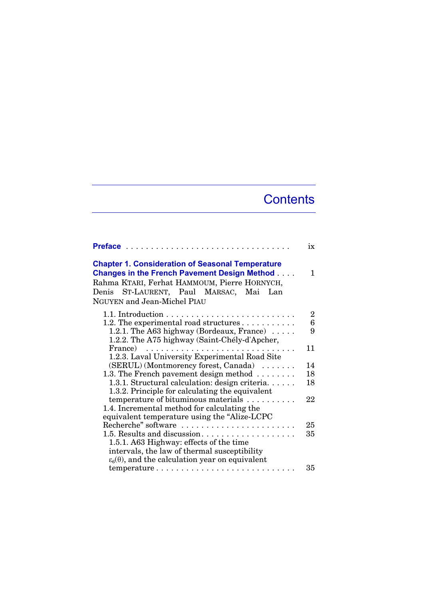## **Contents**

|                                                                                                                                                                                                                                         | ix              |
|-----------------------------------------------------------------------------------------------------------------------------------------------------------------------------------------------------------------------------------------|-----------------|
| <b>Chapter 1. Consideration of Seasonal Temperature</b><br><b>Changes in the French Pavement Design Method</b><br>Rahma KTARI, Ferhat HAMMOUM, Pierre HORNYCH,<br>Denis ST-LAURENT, Paul MARSAC, Mai Lan<br>NGUYEN and Jean-Michel PIAU | 1.              |
|                                                                                                                                                                                                                                         | 2               |
| 1.2. The experimental road structures                                                                                                                                                                                                   | $6\phantom{1}6$ |
| 1.2.1. The A63 highway (Bordeaux, France) $\dots$ .                                                                                                                                                                                     | 9               |
| 1.2.2. The A75 highway (Saint-Chély-d'Apcher,                                                                                                                                                                                           |                 |
| France)                                                                                                                                                                                                                                 | 11              |
| 1.2.3. Laval University Experimental Road Site                                                                                                                                                                                          |                 |
| (SERUL) (Montmorency forest, Canada)                                                                                                                                                                                                    | 14              |
| 1.3. The French pavement design method $\ldots \ldots$                                                                                                                                                                                  | 18              |
| 1.3.1. Structural calculation: design criteria.                                                                                                                                                                                         | 18              |
| 1.3.2. Principle for calculating the equivalent                                                                                                                                                                                         |                 |
| temperature of bituminous materials                                                                                                                                                                                                     | 22              |
| 1.4. Incremental method for calculating the                                                                                                                                                                                             |                 |
| equivalent temperature using the "Alize-LCPC                                                                                                                                                                                            |                 |
| Recherche" software                                                                                                                                                                                                                     | 25              |
| 1.5. Results and discussion                                                                                                                                                                                                             | 35              |
| 1.5.1. A63 Highway: effects of the time                                                                                                                                                                                                 |                 |
| intervals, the law of thermal susceptibility                                                                                                                                                                                            |                 |
| $\varepsilon_6(\theta)$ , and the calculation year on equivalent                                                                                                                                                                        |                 |
| temperature                                                                                                                                                                                                                             | 35              |
|                                                                                                                                                                                                                                         |                 |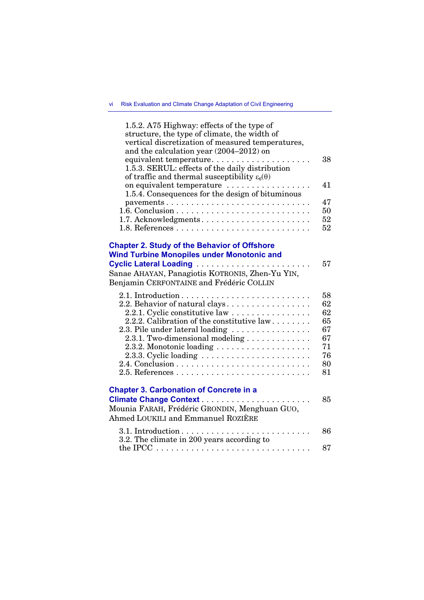| 1.5.2. A75 Highway: effects of the type of<br>structure, the type of climate, the width of<br>vertical discretization of measured temperatures,<br>and the calculation year (2004-2012) on<br>equivalent temperature<br>1.5.3. SERUL: effects of the daily distribution<br>of traffic and thermal susceptibility $\varepsilon_6(\theta)$ | 38                                                       |
|------------------------------------------------------------------------------------------------------------------------------------------------------------------------------------------------------------------------------------------------------------------------------------------------------------------------------------------|----------------------------------------------------------|
| on equivalent temperature<br>1.5.4. Consequences for the design of bituminous                                                                                                                                                                                                                                                            | 41                                                       |
| pavements                                                                                                                                                                                                                                                                                                                                | 47                                                       |
|                                                                                                                                                                                                                                                                                                                                          | 50<br>52                                                 |
|                                                                                                                                                                                                                                                                                                                                          | 52                                                       |
| <b>Chapter 2. Study of the Behavior of Offshore</b><br><b>Wind Turbine Monopiles under Monotonic and</b><br>Sanae AHAYAN, Panagiotis KOTRONIS, Zhen-Yu YIN,<br>Benjamin CERFONTAINE and Frédéric COLLIN                                                                                                                                  | 57                                                       |
| 2.2. Behavior of natural clays.<br>2.2.1. Cyclic constitutive law<br>2.2.2. Calibration of the constitutive law<br>2.3. Pile under lateral loading $\ldots \ldots \ldots \ldots \ldots$<br>$2.3.1.$ Two-dimensional modeling $\dots\dots\dots\dots\dots$<br>2.3.2. Monotonic loading                                                     | 58<br>62<br>62<br>65<br>67<br>67<br>71<br>76<br>80<br>81 |
| <b>Chapter 3. Carbonation of Concrete in a</b><br>Mounia FARAH, Frédéric GRONDIN, Menghuan GUO,<br>Ahmed LOUKILI and Emmanuel ROZIÈRE                                                                                                                                                                                                    | 85                                                       |
| 3.2. The climate in 200 years according to                                                                                                                                                                                                                                                                                               | 86                                                       |
|                                                                                                                                                                                                                                                                                                                                          | 87                                                       |